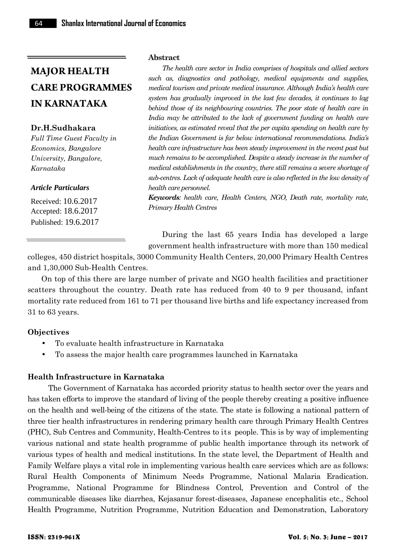**Dr.H.Sudhakara**

*Full Time Guest Faculty in Economics, Bangalore University, Bangalore, Karnataka*

#### *Article Particulars*

Received: 10.6.2017 Accepted: 18.6.2017 Published: 19.6.2017

#### **Abstract**

*The health care sector in India comprises of hospitals and allied sectors such as, diagnostics and pathology, medical equipments and supplies, medical tourism and private medical insurance. Although India's health care system has gradually improved in the last few decades, it continues to lag behind those of its neighbouring countries. The poor state of health care in India may be attributed to the lack of government funding on health care initiatives, as estimated reveal that the per capita spending on health care by the Indian Government is far below international recommendations. India's health care infrastructure has been steady improvement in the recent past but much remains to be accomplished. Despite a steady increase in the number of medical establishments in the country, there still remains a severe shortage of sub-centres. Lack of adequate health care is also reflected in the low density of health care personnel.*

*Keywords: health care, Health Centers, NGO, Death rate, mortality rate, Primary Health Centres*

During the last 65 years India has developed a large government health infrastructure with more than 150 medical

colleges, 450 district hospitals, 3000 Community Health Centers, 20,000 Primary Health Centres and 1,30,000 Sub-Health Centres.

On top of this there are large number of private and NGO health facilities and practitioner scatters throughout the country. Death rate has reduced from 40 to 9 per thousand, infant mortality rate reduced from 161 to 71 per thousand live births and life expectancy increased from 31 to 63 years.

#### **Objectives**

- To evaluate health infrastructure in Karnataka
- To assess the major health care programmes launched in Karnataka

#### **Health Infrastructure in Karnataka**

The Government of Karnataka has accorded priority status to health sector over the years and has taken efforts to improve the standard of living of the people thereby creating a positive influence on the health and well-being of the citizens of the state. The state is following a national pattern of three tier health infrastructures in rendering primary health care through Primary Health Centres (PHC), Sub Centres and Community, Health-Centres to its people. This is by way of implementing various national and state health programme of public health importance through its network of various types of health and medical institutions. In the state level, the Department of Health and Family Welfare plays a vital role in implementing various health care services which are as follows: Rural Health Components of Minimum Needs Programme, National Malaria Eradication. Programme, National Programme for Blindness Control, Prevention and Control of the communicable diseases like diarrhea, Kejasanur forest-diseases, Japanese encephalitis etc., School Health Programme, Nutrition Programme, Nutrition Education and Demonstration, Laboratory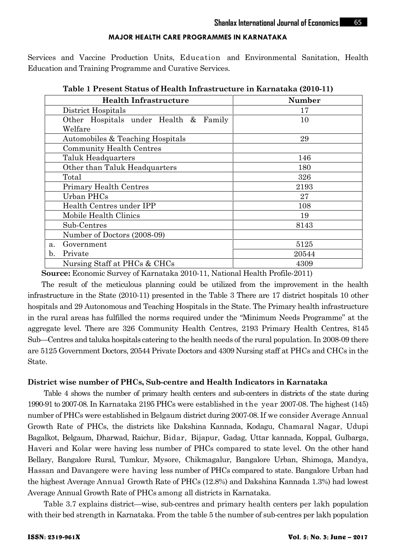Services and Vaccine Production Units, Education and Environmental Sanitation, Health Education and Training Programme and Curative Services.

| <b>Health Infrastructure</b>          | <b>Number</b> |
|---------------------------------------|---------------|
| District Hospitals                    | 17            |
| Other Hospitals under Health & Family | 10            |
| Welfare                               |               |
| Automobiles & Teaching Hospitals      | 29            |
| <b>Community Health Centres</b>       |               |
| Taluk Headquarters                    | 146           |
| Other than Taluk Headquarters         | 180           |
| Total                                 | 326           |
| Primary Health Centres                | 2193          |
| Urban PHCs                            | 27            |
| Health Centres under IPP              | 108           |
| Mobile Health Clinics                 | 19            |
| Sub-Centres                           | 8143          |
| Number of Doctors (2008-09)           |               |
| Government<br>$a$ .                   | 5125          |
| Private<br>b.                         | 20544         |
| Nursing Staff at PHCs & CHCs          | 4309          |

**Table 1 Present Status of Health Infrastructure in Karnataka (2010-11)**

**Source:** Economic Survey of Karnataka 2010-11, National Health Profile-2011)

The result of the meticulous planning could be utilized from the improvement in the health infrastructure in the State (2010-11) presented in the Table 3 There are 17 district hospitals 10 other hospitals and 29 Autonomous and Teaching Hospitals in the State. The Primary health infrastructure in the rural areas has fulfilled the norms required under the "Minimum Needs Programme" at the aggregate level. There are 326 Community Health Centres, 2193 Primary Health Centres, 8145 Sub—Centres and taluka hospitals catering to the health needs of the rural population. In 2008-09 there are 5125 Government Doctors, 20544 Private Doctors and 4309 Nursing staff at PHCs and CHCs in the State.

#### **District wise number of PHCs, Sub-centre and Health Indicators in Karnataka**

Table 4 shows the number of primary health centers and sub-centers in districts of the state during 1990-91 to 2007-08. In Karnataka 2195 PHCs were established in the year 2007-08. The highest (145) number of PHCs were established in Belgaum district during 2007-08. If we consider Average Annual Growth Rate of PHCs, the districts like Dakshina Kannada, Kodagu, Chamaral Nagar, Udupi Bagalkot, Belgaum, Dharwad, Raichur, Bidar*,* Bijapur, Gadag, Uttar kannada, Koppal, Gulbarga, Haveri and Kolar were having less number of PHCs compared to state level. On the other hand Bellary, Bangalore Rural, Tumkur, Mysore, Chikmagalur, Bangalore Urban, Shimoga, Mandya, Hassan and Davangere were having less number of PHCs compared to state. Bangalore Urban had the highest Average Annual Growth Rate of PHCs (12.8%) and Dakshina Kannada 1.3%) had lowest Average Annual Growth Rate of PHCs among all districts in Karnataka.

Table 3.7 explains district—wise, sub-centres and primary health centers per lakh population with their bed strength in Karnataka. From the table 5 the number of sub-centres per lakh population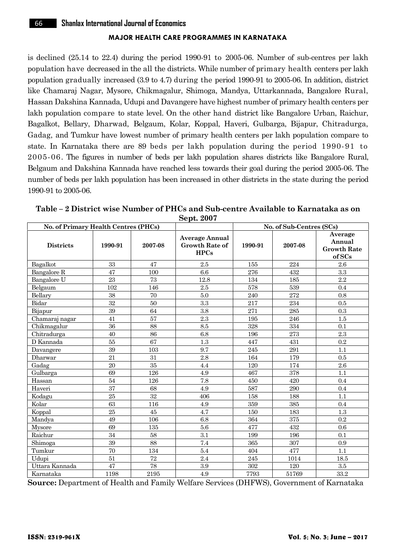is declined (25.14 to 22.4) during the period 1990-91 to 2005-06. Number of sub-centres per lakh population have decreased in the all the districts. While number of primary health centers per lakh population gradually increased (3.9 to 4.7) during the period 1990-91 to 2005-06. In addition, district like Chamaraj Nagar, Mysore, Chikmagalur, Shimoga, Mandya, Uttarkannada, Bangalore Rural, Hassan Dakshina Kannada, Udupi and Davangere have highest number of primary health centers per lakh population compare to state level. On the other hand district like Bangalore Urban, Raichur, Bagalkot, Bellary, Dharwad, Belgaum, Kolar, Koppal, Haveri, Gulbarga, Bijapur, Chitradurga, Gadag, and Tumkur have lowest number of primary health centers per lakh population compare to state. In Karnataka there are 89 beds per lakh population during the period 1990-91 to 2005-06. The figures in number of beds per lakh population shares districts like Bangalore Rural, Belgaum and Dakshina Kannada have reached less towards their goal during the period 2005-06. The number of beds per lakh population has been increased in other districts in the state during the period 1990-91 to 2005-06.

| No. of Primary Health Centres (PHCs) |      |                    |                                                        | No. of Sub-Centres (SCs) |         |                                                   |  |
|--------------------------------------|------|--------------------|--------------------------------------------------------|--------------------------|---------|---------------------------------------------------|--|
| <b>Districts</b>                     |      | 2007-08<br>1990-91 | <b>Average Annual</b><br><b>Growth Rate of</b><br>HPCs | 1990-91                  | 2007-08 | Average<br>Annual<br><b>Growth Rate</b><br>of SCs |  |
| Bagalkot                             | 33   | 47                 | 2.5                                                    | 155                      | 224     | 2.6                                               |  |
| Bangalore R                          | 47   | 100                | 6.6                                                    | 276                      | 432     | 3.3                                               |  |
| Bangalore U                          | 23   | 73                 | 12.8                                                   | 134                      | 185     | 2.2                                               |  |
| Belgaum                              | 102  | 146                | 2.5                                                    | 578                      | 539     | 0.4                                               |  |
| Bellary                              | 38   | 70                 | 5.0                                                    | 240                      | 272     | 0.8                                               |  |
| Bidar                                | 32   | 50                 | 3.3                                                    | 217                      | 234     | 0.5                                               |  |
| Bijapur                              | 39   | 64                 | 3.8                                                    | 271                      | 285     | 0.3                                               |  |
| Chamaraj nagar                       | 41   | 57                 | 2.3                                                    | 195                      | 246     | 1.5                                               |  |
| Chikmagalur                          | 36   | 88                 | 8.5                                                    | 328                      | 334     | 0.1                                               |  |
| Chitradurga                          | 40   | 86                 | 6.8                                                    | 196                      | 273     | 2.3                                               |  |
| D Kannada                            | 55   | 67                 | 1.3                                                    | 447                      | 431     | 0.2                                               |  |
| Davangere                            | 39   | 103                | 9.7                                                    | 245                      | 291     | 1.1                                               |  |
| Dharwar                              | 21   | 31                 | 2.8                                                    | 164                      | 179     | 0.5                                               |  |
| Gadag                                | 20   | 35                 | 4.4                                                    | 120                      | 174     | 2.6                                               |  |
| Gulbarga                             | 69   | 126                | 4.9                                                    | 467                      | 378     | 1.1                                               |  |
| Hassan                               | 54   | 126                | 7.8                                                    | 450                      | 420     | 0.4                                               |  |
| Haveri                               | 37   | 68                 | 4.9                                                    | 587                      | 290     | 0.4                                               |  |
| Kodagu                               | 25   | 32                 | 406                                                    | 158                      | 188     | 1.1                                               |  |
| Kolar                                | 63   | 116                | 4.9                                                    | 359                      | 385     | 0.4                                               |  |
| Koppal                               | 25   | 45                 | 4.7                                                    | 150                      | 183     | 1.3                                               |  |
| Mandya                               | 49   | 106                | 6.8                                                    | 364                      | 375     | 0.2                                               |  |
| Mysore                               | 69   | 135                | 5.6                                                    | 477                      | 432     | 0.6                                               |  |
| Raichur                              | 34   | 58                 | 3.1                                                    | 199                      | 196     | 0.1                                               |  |
| Shimoga                              | 39   | 88                 | 7.4                                                    | 365                      | 307     | 0.9                                               |  |
| Tumkur                               | 70   | 134                | 5.4                                                    | 404                      | 477     | 1.1                                               |  |
| Udupi                                | 51   | 72                 | 2.4                                                    | 245                      | 1014    | 18.5                                              |  |
| Uttara Kannada                       | 47   | 78                 | 3.9                                                    | 302                      | 120     | $3.5\,$                                           |  |
| Karnataka                            | 1198 | 2195               | 4.9                                                    | 7793                     | 51769   | 33.2                                              |  |

| Table – 2 District wise Number of PHCs and Sub-centre Available to Karnataka as on |  |
|------------------------------------------------------------------------------------|--|
| Sept. 2007                                                                         |  |

**Source:** Department of Health and Family Welfare Services (DHFWS), Government of Karnataka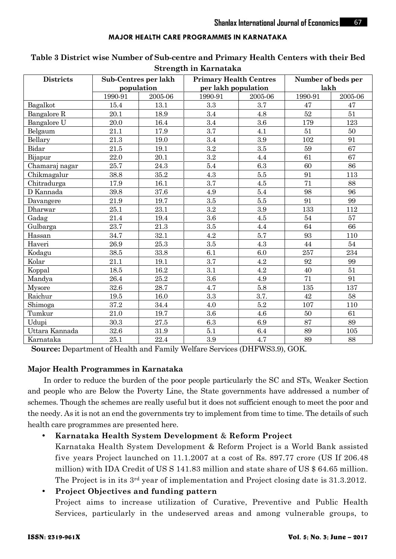|                  |         |                                   | $\sim$ $\alpha$ $\sim$ $\alpha$ $\alpha$ $\alpha$ $\alpha$ $\alpha$ $\alpha$ $\alpha$ |         |                    |         |
|------------------|---------|-----------------------------------|---------------------------------------------------------------------------------------|---------|--------------------|---------|
| <b>Districts</b> |         | Sub-Centres per lakh              | <b>Primary Health Centres</b>                                                         |         | Number of beds per |         |
|                  |         | population<br>per lakh population |                                                                                       |         | lakh               |         |
|                  | 1990-91 | 2005-06                           | 1990-91                                                                               | 2005-06 | 1990-91            | 2005-06 |
| Bagalkot         | 15.4    | 13.1                              | 3.3                                                                                   | 3.7     | 47                 | 47      |
| Bangalore R      | 20.1    | 18.9                              | 3.4                                                                                   | 4.8     | 52                 | 51      |
| Bangalore U      | 20.0    | 16.4                              | 3.4                                                                                   | 3.6     | 179                | 123     |
| Belgaum          | 21.1    | 17.9                              | 3.7                                                                                   | 4.1     | 51                 | 50      |
| Bellary          | 21.3    | 19.0                              | 3.4                                                                                   | 3.9     | 102                | 91      |
| Bidar            | 21.5    | 19.1                              | 3.2                                                                                   | 3.5     | 59                 | 67      |
| Bijapur          | 22.0    | 20.1                              | 3.2                                                                                   | 4.4     | 61                 | 67      |
| Chamaraj nagar   | 25.7    | 24.3                              | 5.4                                                                                   | 6.3     | 60                 | 86      |
| Chikmagalur      | 38.8    | 35.2                              | 4.3                                                                                   | $5.5\,$ | 91                 | 113     |
| Chitradurga      | 17.9    | 16.1                              | 3.7                                                                                   | 4.5     | 71                 | 88      |
| D Kannada        | 39.8    | 37.6                              | 4.9                                                                                   | 5.4     | 98                 | 96      |
| Davangere        | 21.9    | 19.7                              | 3.5                                                                                   | $5.5\,$ | 91                 | 99      |
| Dharwar          | 25.1    | 23.1                              | 3.2                                                                                   | 3.9     | 133                | 112     |
| Gadag            | 21.4    | 19.4                              | 3.6                                                                                   | 4.5     | 54                 | 57      |
| Gulbarga         | 23.7    | 21.3                              | 3.5                                                                                   | 4.4     | 64                 | 66      |
| Hassan           | 34.7    | 32.1                              | 4.2                                                                                   | 5.7     | 93                 | 110     |
| Haveri           | 26.9    | 25.3                              | 3.5                                                                                   | 4.3     | 44                 | 54      |
| Kodagu           | 38.5    | 33.8                              | 6.1                                                                                   | 6.0     | 257                | 234     |
| Kolar            | 21.1    | 19.1                              | 3.7                                                                                   | 4.2     | 92                 | 99      |
| Koppal           | 18.5    | 16.2                              | 3.1                                                                                   | 4.2     | 40                 | 51      |
| Mandya           | 26.4    | 25.2                              | 3.6                                                                                   | 4.9     | 71                 | 91      |
| Mysore           | 32.6    | 28.7                              | 4.7                                                                                   | 5.8     | 135                | 137     |
| Raichur          | 19.5    | 16.0                              | 3.3                                                                                   | 3.7.    | 42                 | 58      |
| Shimoga          | 37.2    | 34.4                              | 4.0                                                                                   | 5.2     | 107                | 110     |
| Tumkur           | 21.0    | 19.7                              | 3.6                                                                                   | 4.6     | 50                 | 61      |
| Udupi            | 30.3    | 27.5                              | 6.3                                                                                   | 6.9     | 87                 | 89      |
| Uttara Kannada   | 32.6    | 31.9                              | 5.1                                                                                   | 6.4     | 89                 | 105     |
| Karnataka        | 25.1    | 22.4                              | 3.9                                                                                   | 4.7     | 89                 | 88      |

# **Table 3 District wise Number of Sub-centre and Primary Health Centers with their Bed Strength in Karnataka**

**Source:** Department of Health and Family Welfare Services (DHFWS3.9), GOK.

# **Major Health Programmes in Karnataka**

In order to reduce the burden of the poor people particularly the SC and STs, Weaker Section and people who are Below the Poverty Line, the State governments have addressed a number of schemes. Though the schemes are really useful but it does not sufficient enough to meet the poor and the needy. As it is not an end the governments try to implement from time to time. The details of such health care programmes are presented here.

# **Karnataka Health System Development** & **Reform Project**

Karnataka Health System Development & Reform Project is a World Bank assisted five years Project launched on 11.1.2007 at a cost of Rs. 897.77 crore (US If 206.48 million) with IDA Credit of US S 141.83 million and state share of US \$ 64.65 million. The Project is in its  $3<sup>rd</sup>$  year of implementation and Project closing date is 31.3.2012.

# **Project Objectives and funding pattern**

Project aims to increase utilization of Curative, Preventive and Public Health Services, particularly in the undeserved areas and among vulnerable groups, to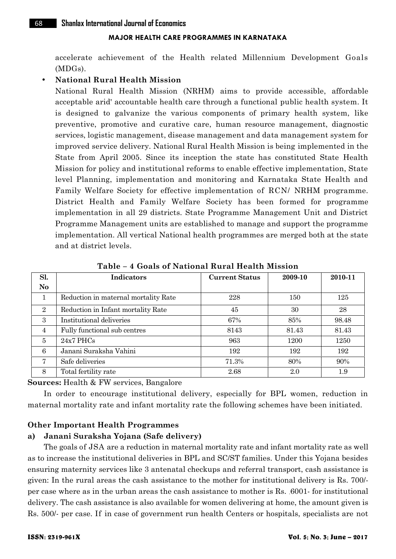accelerate achievement of the Health related Millennium Development Goals (MDGs).

#### **National Rural Health Mission**

National Rural Health Mission (NRHM) aims to provide accessible, affordable acceptable arid' accountable health care through a functional public health system. It is designed to galvanize the various components of primary health system, like preventive, promotive and curative care, human resource management, diagnostic services, logistic management, disease management and data management system for improved service delivery. National Rural Health Mission is being implemented in the State from April 2005. Since its inception the state has constituted State Health Mission for policy and institutional reforms to enable effective implementation, State level Planning, implementation and monitoring and Karnataka State Health and Family Welfare Society for effective implementation of RCN/ NRHM programme. District Health and Family Welfare Society has been formed for programme implementation in all 29 districts. State Programme Management Unit and District Programme Management units are established to manage and support the programme implementation. All vertical National health programmes are merged both at the state and at district levels.

| Sl.            | <b>Indicators</b>                    | <b>Current Status</b> | 2009-10 | 2010-11 |
|----------------|--------------------------------------|-----------------------|---------|---------|
| N <sub>o</sub> |                                      |                       |         |         |
| 1              | Reduction in maternal mortality Rate | 228                   | 150     | 125     |
| $\overline{2}$ | Reduction in Infant mortality Rate   | 45                    | 30      | 28      |
| 3              | Institutional deliveries             | 67%                   | 85%     | 98.48   |
| $\overline{4}$ | Fully functional sub centres         | 8143                  | 81.43   | 81.43   |
| $\overline{5}$ | $24x7$ PHCs                          | 963                   | 1200    | 1250    |
| 6              | Janani Suraksha Vahini               | 192                   | 192     | 192     |
| 7              | Safe deliveries                      | 71.3%                 | 80%     | 90%     |
| 8              | Total fertility rate                 | 2.68                  | 2.0     | 1.9     |

**Table – 4 Goals of National Rural Health Mission**

**Sources:** Health & FW services, Bangalore

In order to encourage institutional delivery, especially for BPL women, reduction in maternal mortality rate and infant mortality rate the following schemes have been initiated.

# **Other Important Health Programmes**

#### **a) Janani Suraksha Yojana (Safe delivery)**

The goals of JSA are a reduction in maternal mortality rate and infant mortality rate as well as to increase the institutional deliveries in BPL and SC/ST families. Under this Yojana besides ensuring maternity services like 3 antenatal checkups and referral transport, cash assistance is given: In the rural areas the cash assistance to the mother for institutional delivery is Rs. 700/ per case where as in the urban areas the cash assistance to mother is Rs. .6001- for institutional delivery. The cash assistance is also available for women delivering at home, the amount given is Rs. 500/- per case. If in case of government run health Centers or hospitals, specialists are not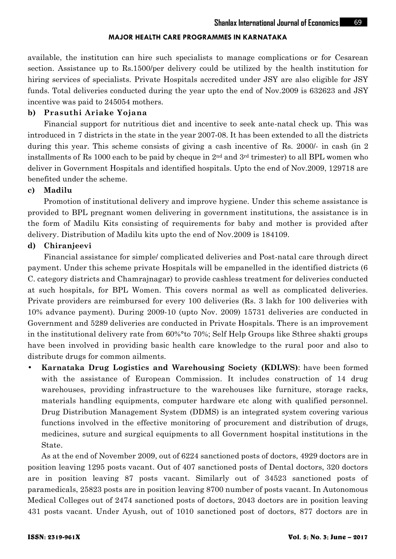available, the institution can hire such specialists to manage complications or for Cesarean section. Assistance up to Rs.1500/per delivery could be utilized by the health institution for hiring services of specialists. Private Hospitals accredited under JSY are also eligible for JSY funds. Total deliveries conducted during the year upto the end of Nov.2009 is 632623 and JSY incentive was paid to 245054 mothers.

#### **b) Prasuthi Ariake Yojana**

Financial support for nutritious diet and incentive to seek ante-natal check up. This was introduced in 7 districts in the state in the year 2007-08. It has been extended to all the districts during this year. This scheme consists of giving a cash incentive of Rs. 2000/- in cash (in 2 installments of Rs 1000 each to be paid by cheque in 2nd and 3rd trimester) to all BPL women who deliver in Government Hospitals and identified hospitals. Upto the end of Nov.2009, 129718 are benefited under the scheme.

#### **c) Madilu**

Promotion of institutional delivery and improve hygiene. Under this scheme assistance is provided to BPL pregnant women delivering in government institutions, the assistance is in the form of Madilu Kits consisting of requirements for baby and mother is provided after delivery. Distribution of Madilu kits upto the end of Nov.2009 is 184109.

#### **d) Chiranjeevi**

Financial assistance for simple/ complicated deliveries and Post-natal care through direct payment. Under this scheme private Hospitals will be empanelled in the identified districts (6 C. category districts and Chamrajnagar) to provide cashless treatment for deliveries conducted at such hospitals, for BPL Women. This covers normal as well as complicated deliveries. Private providers are reimbursed for every 100 deliveries (Rs. 3 lakh for 100 deliveries with 10% advance payment). During 2009-10 (upto Nov. 2009) 15731 deliveries are conducted in Government and 5289 deliveries are conducted in Private Hospitals. There is an improvement in the institutional delivery rate from 60%°to 70%; Self Help Groups like Sthree shakti groups have been involved in providing basic health care knowledge to the rural poor and also to distribute drugs for common ailments.

 **Karnataka Drug Logistics and Warehousing Society (KDLWS)**: have been formed with the assistance of European Commission. It includes construction of 14 drug warehouses, providing infrastructure to the warehouses like furniture, storage racks, materials handling equipments, computer hardware etc along with qualified personnel. Drug Distribution Management System (DDMS) is an integrated system covering various functions involved in the effective monitoring of procurement and distribution of drugs, medicines, suture and surgical equipments to all Government hospital institutions in the State.

As at the end of November 2009, out of 6224 sanctioned posts of doctors, 4929 doctors are in position leaving 1295 posts vacant. Out of 407 sanctioned posts of Dental doctors, 320 doctors are in position leaving 87 posts vacant. Similarly out of 34523 sanctioned posts of paramedicals, 25823 posts are in position leaving 8700 number of posts vacant. In Autonomous Medical Colleges out of 2474 sanctioned posts of doctors, 2043 doctors are in position leaving 431 posts vacant. Under Ayush, out of 1010 sanctioned post of doctors, 877 doctors are in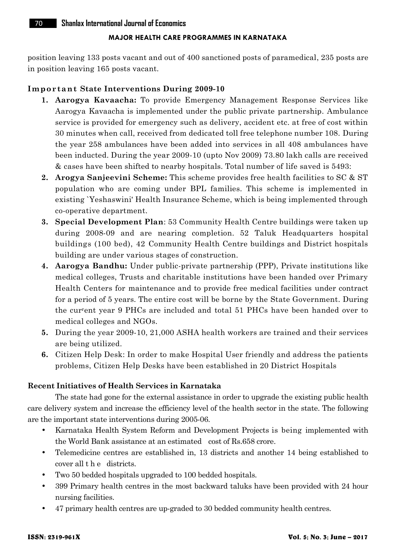position leaving 133 posts vacant and out of 400 sanctioned posts of paramedical, 235 posts are in position leaving 165 posts vacant. **IM position leaving 133 posts vacant and out of 400 sanctioned post<br>
<b>Important State Interventions During 2009-10**<br> **1. Aarogya Kavaacha:** To provide Emergency Manage

- **1. Aarogya Kavaacha:** To provide Emergency Management Response Services like Aarogya Kavaacha is implemented under the public private partnership. Ambulance service is provided for emergency such as delivery, accident etc. at free of cost within 30 minutes when call, received from dedicated toll free telephone number 108. During the year 258 ambulances have been added into services in all 408 ambulances have been inducted. During the year 2009-10 (upto Nov 2009) 73.80 lakh calls are received & cases have been shifted to nearby hospitals. Total number of life saved is 5493:
- **2. Arogya Sanjeevini Scheme:** This scheme provides free health facilities to SC & ST population who are coming under BPL families. This scheme is implemented in existing `Yeshaswini' Health Insurance Scheme, which is being implemented through co-operative department.
- **3. Special Development Plan**: 53 Community Health Centre buildings were taken up during 2008-09 and are nearing completion. 52 Taluk Headquarters hospital buildings (100 bed), 42 Community Health Centre buildings and District hospitals building are under various stages of construction.
- **4. Aarogya Bandhu:** Under public-private partnership (PPP), Private institutions like medical colleges, Trusts and charitable institutions have been handed over Primary Health Centers for maintenance and to provide free medical facilities under contract for a period of 5 years. The entire cost will be borne by the State Government. During the cur <sup>r</sup>ent year 9 PHCs are included and total 51 PHCs have been handed over to medical colleges and NGOs.
- **5.** During the year 2009-10, 21,000 ASHA health workers are trained and their services are being utilized.
- **6.** Citizen Help Desk: In order to make Hospital User friendly and address the patients problems, Citizen Help Desks have been established in 20 District Hospitals

#### **Recent Initiatives of Health Services in Karnataka**

The state had gone for the external assistance in order to upgrade the existing public health care delivery system and increase the efficiency level of the health sector in the state. The following are the important state interventions during 2005-06.

- Karnataka Health System Reform and Development Projects is being implemented with the World Bank assistance at an estimated cost of Rs.658 crore. • Karnataka Health System Reform and Development Projects in the World Bank assistance at an estimated cost of Rs.658 crore<br>• Telemedicine centres are established in, 13 districts and anot cover all the districts.<br>• Two 50
- Telemedicine centres are established in, 13 districts and another 14 being established to
- 
- 399 Primary health centres in the most backward taluks have been provided with 24 hour nursing facilities.
- 47 primary health centres are up-graded to 30 bedded community health centres.